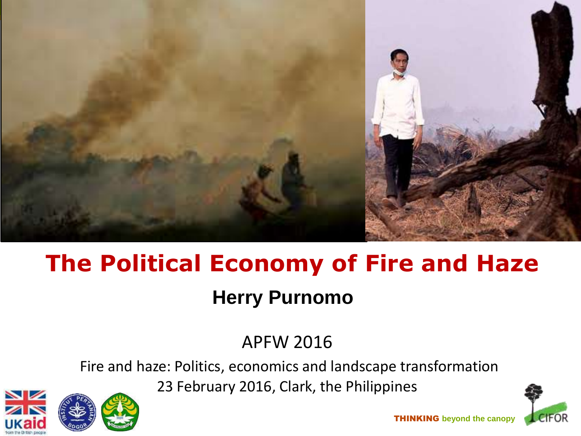

# **The Political Economy of Fire and Haze Herry Purnomo**

APFW 2016

Fire and haze: Politics, economics and landscape transformation

23 February 2016, Clark, the Philippines





THINKING **beyond the canopy**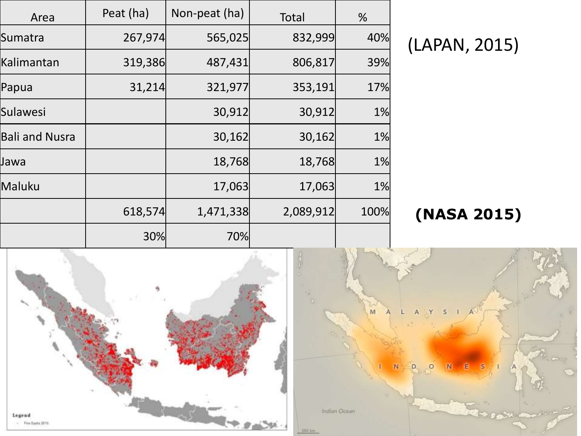| Area                  | Peat (ha) | Non-peat (ha) | <b>Total</b> | %    |
|-----------------------|-----------|---------------|--------------|------|
| Sumatra               | 267,974   | 565,025       | 832,999      | 40%  |
| Kalimantan            | 319,386   | 487,431       | 806,817      | 39%  |
| Papua                 | 31,214    | 321,977       | 353,191      | 17%  |
| Sulawesi              |           | 30,912        | 30,912       | 1%   |
| <b>Bali and Nusra</b> |           | 30,162        | 30,162       | 1%   |
| Jawa                  |           | 18,768        | 18,768       | 1%   |
| Maluku                |           | 17,063        | 17,063       | 1%   |
|                       | 618,574   | 1,471,338     | 2,089,912    | 100% |
|                       | 30%       | 70%           |              |      |

(LAPAN, 2015)

**(NASA 2015)**

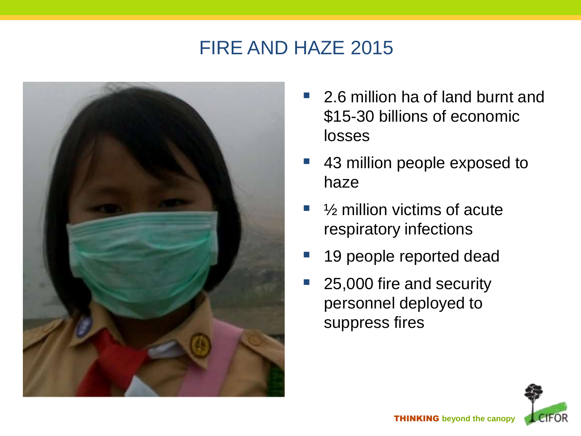#### FIRE AND HAZE 2015



- 2.6 million ha of land burnt and \$15-30 billions of economic losses
- 43 million people exposed to haze
- ½ million victims of acute respiratory infections
- 19 people reported dead
- 25,000 fire and security personnel deployed to suppress fires

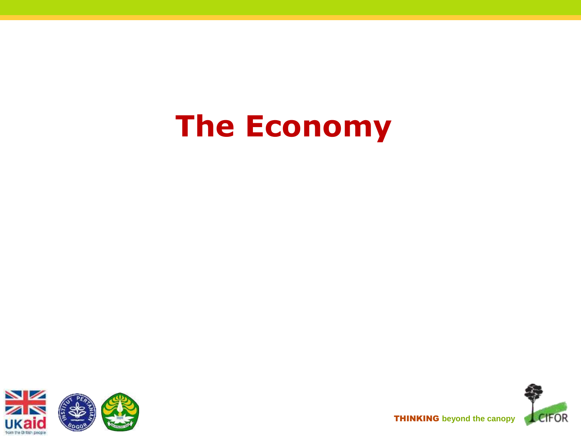# **The Economy**





THINKING **beyond the canopy**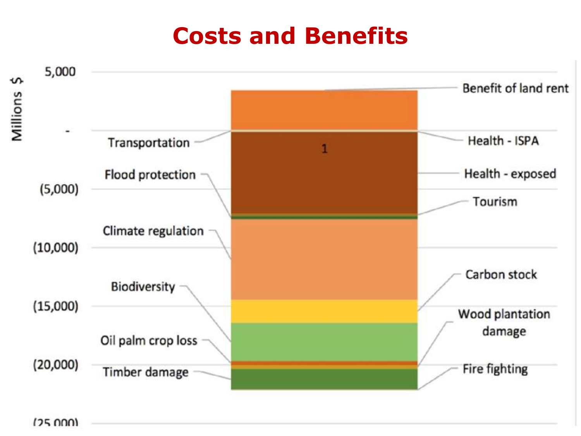### **Costs and Benefits**



 $(25000)$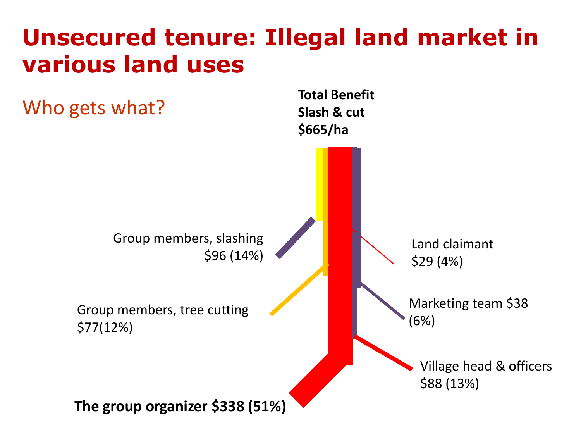## **Unsecured tenure: Illegal land market in various land uses**

Who gets what?

**Total Benefit Slash & cut \$665/ha**

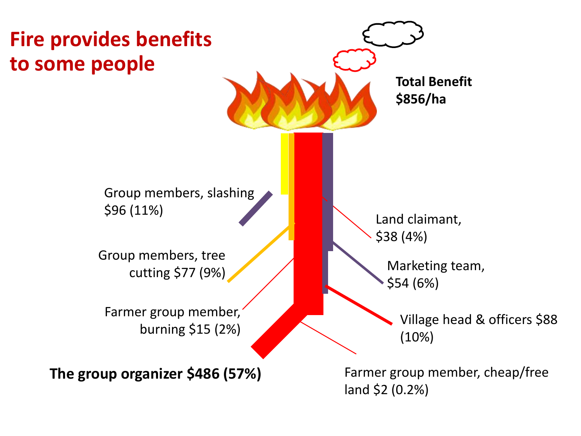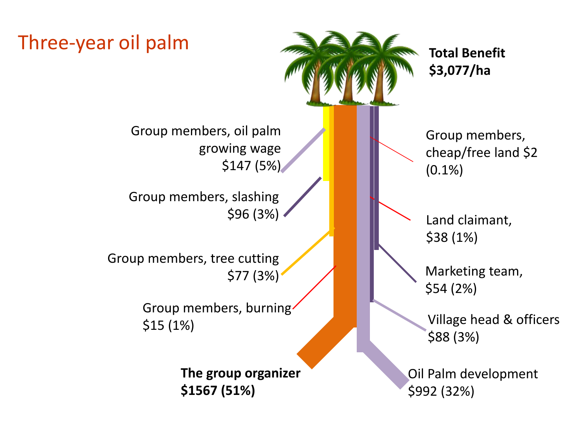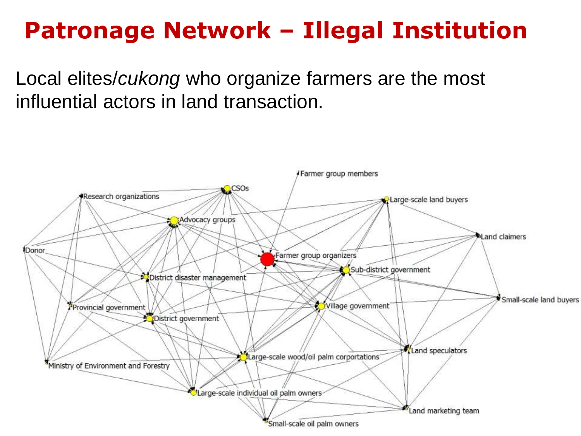## **Patronage Network – Illegal Institution**

Local elites/*cukong* who organize farmers are the most influential actors in land transaction.

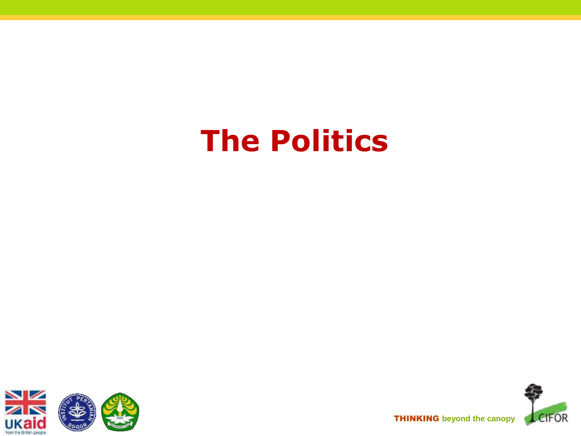# **The Politics**





THINKING **beyond the canopy**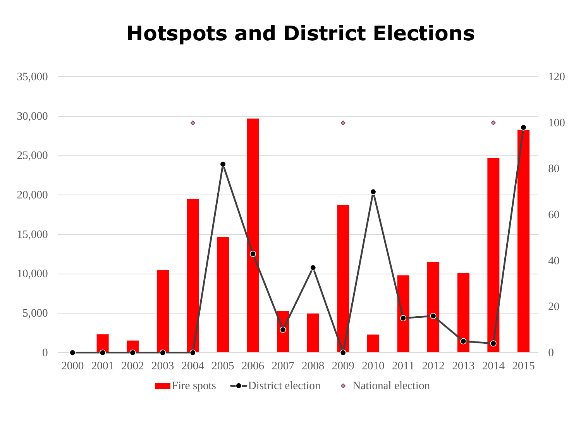#### **Hotspots and District Elections**

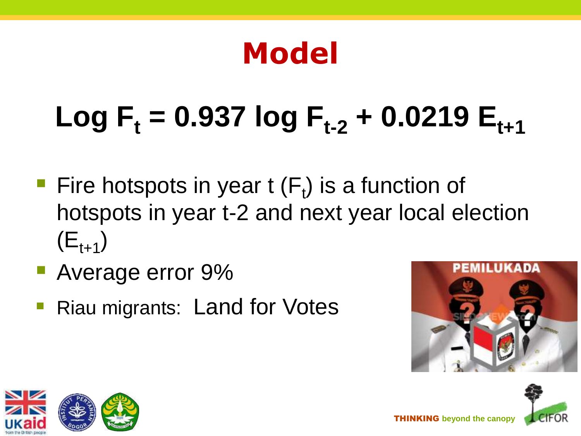# **Model**

# $Log F_1 = 0.937 log F_{1.2} + 0.0219 E_{1.1}$

- Fire hotspots in year  $t(F_t)$  is a function of hotspots in year t-2 and next year local election  $(E_{t+1})$
- **Average error 9%**
- Riau migrants: Land for Votes





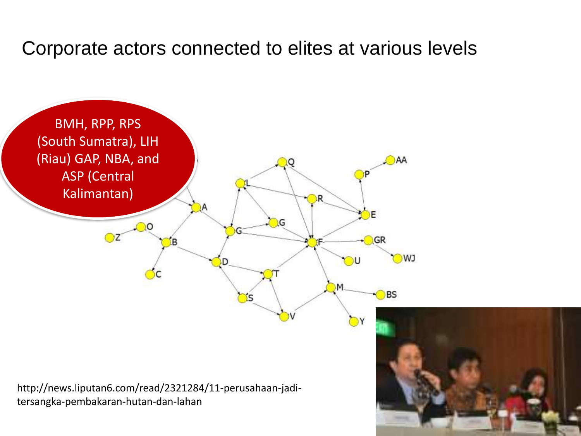#### Corporate actors connected to elites at various levels



http://news.liputan6.com/read/2321284/11-perusahaan-jaditersangka-pembakaran-hutan-dan-lahan

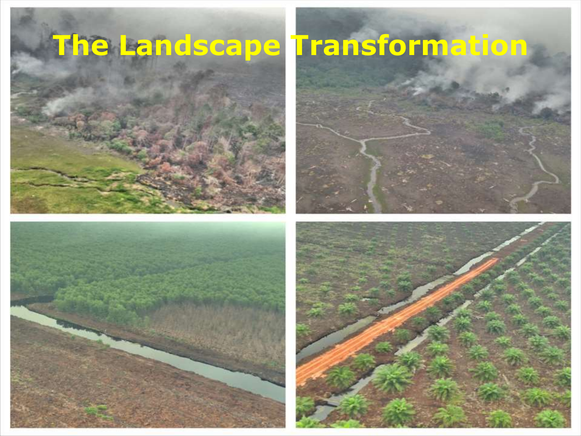





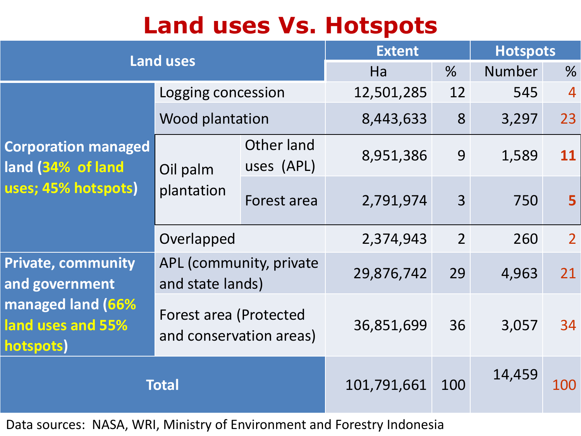## **Land uses Vs. Hotspots**

| <b>Land uses</b>                                                                                   |                                                   |                          | <b>Extent</b> |                | <b>Hotspots</b> |                |
|----------------------------------------------------------------------------------------------------|---------------------------------------------------|--------------------------|---------------|----------------|-----------------|----------------|
|                                                                                                    |                                                   |                          | Ha            | $\frac{9}{6}$  | <b>Number</b>   | %              |
| <b>Corporation managed</b><br>land (34% of land<br>uses; 45% hotspots)                             | Logging concession                                |                          | 12,501,285    | 12             | 545             | $\overline{4}$ |
|                                                                                                    | Wood plantation                                   |                          | 8,443,633     | 8              | 3,297           | 23             |
|                                                                                                    | Oil palm<br>plantation                            | Other land<br>uses (APL) | 8,951,386     | 9              | 1,589           | 11             |
|                                                                                                    |                                                   | Forest area              | 2,791,974     | $\overline{3}$ | 750             | 5              |
|                                                                                                    | Overlapped                                        |                          | 2,374,943     | $\overline{2}$ | 260             | $\overline{2}$ |
| <b>Private, community</b><br>and government<br>managed land (66%<br>land uses and 55%<br>hotspots) | APL (community, private<br>and state lands)       |                          | 29,876,742    | 29             | 4,963           | 21             |
|                                                                                                    | Forest area (Protected<br>and conservation areas) |                          | 36,851,699    | 36             | 3,057           | 34             |
| <b>Total</b>                                                                                       |                                                   |                          | 101,791,661   | 100            | 14,459          | 100            |

Data sources: NASA, WRI, Ministry of Environment and Forestry Indonesia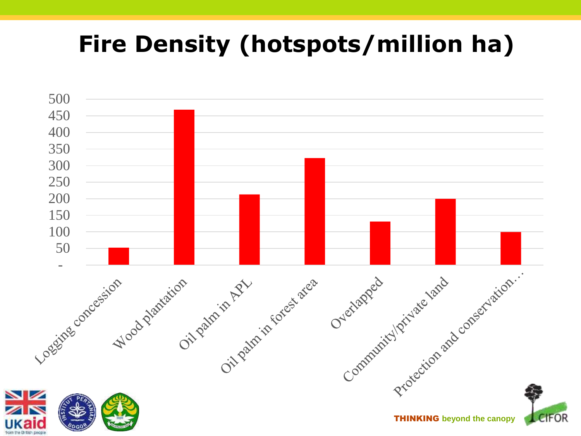# **Fire Density (hotspots/million ha)**

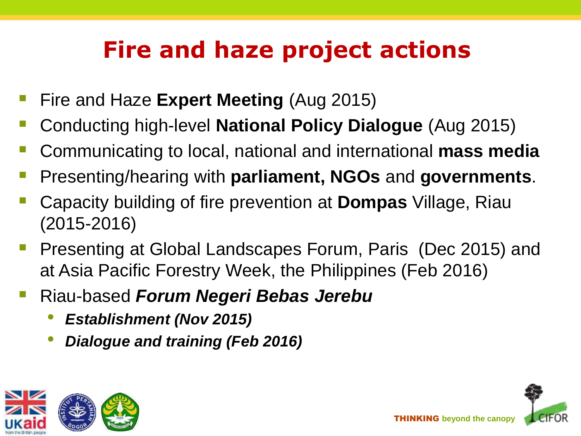# **Fire and haze project actions**

- Fire and Haze **Expert Meeting** (Aug 2015)
- Conducting high-level **National Policy Dialogue** (Aug 2015)
- Communicating to local, national and international **mass media**
- Presenting/hearing with **parliament, NGOs** and **governments**.
- Capacity building of fire prevention at **Dompas** Village, Riau (2015-2016)
- **Presenting at Global Landscapes Forum, Paris (Dec 2015) and** at Asia Pacific Forestry Week, the Philippines (Feb 2016)
- Riau-based *Forum Negeri Bebas Jerebu*
	- *Establishment (Nov 2015)*
	- *Dialogue and training (Feb 2016)*